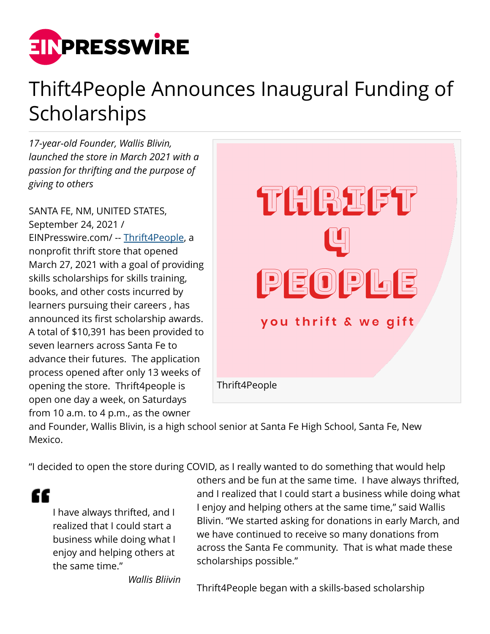

## Thift4People Announces Inaugural Funding of **Scholarships**

*17-year-old Founder, Wallis Blivin, launched the store in March 2021 with a passion for thrifting and the purpose of giving to others*

SANTA FE, NM, UNITED STATES, September 24, 2021 / [EINPresswire.com](http://www.einpresswire.com)/ -- [Thrift4People,](http://thrift4people.com) a nonprofit thrift store that opened March 27, 2021 with a goal of providing skills scholarships for skills training, books, and other costs incurred by learners pursuing their careers , has announced its first scholarship awards. A total of \$10,391 has been provided to seven learners across Santa Fe to advance their futures. The application process opened after only 13 weeks of opening the store. Thrift4people is open one day a week, on Saturdays from 10 a.m. to 4 p.m., as the owner



and Founder, Wallis Blivin, is a high school senior at Santa Fe High School, Santa Fe, New Mexico.

"I decided to open the store during COVID, as I really wanted to do something that would help

ſſ

I have always thrifted, and I realized that I could start a business while doing what I enjoy and helping others at the same time."

others and be fun at the same time. I have always thrifted, and I realized that I could start a business while doing what I enjoy and helping others at the same time," said Wallis Blivin. "We started asking for donations in early March, and we have continued to receive so many donations from across the Santa Fe community. That is what made these scholarships possible."

*Wallis Bliivin*

Thrift4People began with a skills-based scholarship